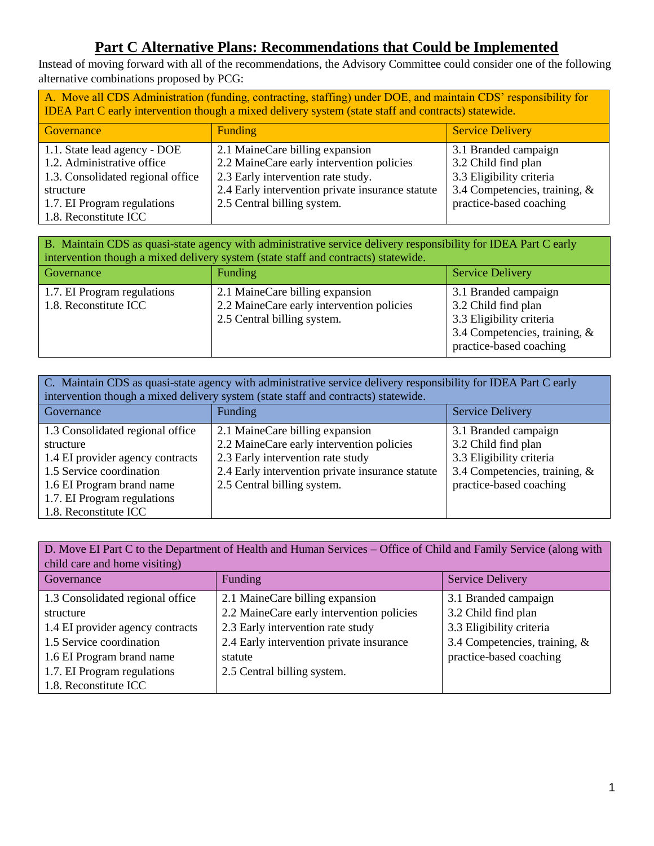## **Part C Alternative Plans: Recommendations that Could be Implemented**

Instead of moving forward with all of the recommendations, the Advisory Committee could consider one of the following alternative combinations proposed by PCG:

| A. Move all CDS Administration (funding, contracting, staffing) under DOE, and maintain CDS' responsibility for<br>IDEA Part C early intervention though a mixed delivery system (state staff and contracts) statewide. |                                                                              |                                             |  |  |
|-------------------------------------------------------------------------------------------------------------------------------------------------------------------------------------------------------------------------|------------------------------------------------------------------------------|---------------------------------------------|--|--|
| Governance                                                                                                                                                                                                              | <b>Funding</b>                                                               | <b>Service Delivery</b>                     |  |  |
| 1.1. State lead agency - DOE<br>1.2. Administrative office                                                                                                                                                              | 2.1 MaineCare billing expansion<br>2.2 MaineCare early intervention policies | 3.1 Branded campaign<br>3.2 Child find plan |  |  |
| 1.3. Consolidated regional office                                                                                                                                                                                       | 2.3 Early intervention rate study.                                           | 3.3 Eligibility criteria                    |  |  |
| structure                                                                                                                                                                                                               | 2.4 Early intervention private insurance statute                             | 3.4 Competencies, training, &               |  |  |
| 1.7. EI Program regulations<br>1.8. Reconstitute ICC                                                                                                                                                                    | 2.5 Central billing system.                                                  | practice-based coaching                     |  |  |

| B. Maintain CDS as quasi-state agency with administrative service delivery responsibility for IDEA Part C early<br>intervention though a mixed delivery system (state staff and contracts) statewide. |                                                                                                             |                                                                                                                                     |  |  |
|-------------------------------------------------------------------------------------------------------------------------------------------------------------------------------------------------------|-------------------------------------------------------------------------------------------------------------|-------------------------------------------------------------------------------------------------------------------------------------|--|--|
| Governance                                                                                                                                                                                            | Funding                                                                                                     | <b>Service Delivery</b>                                                                                                             |  |  |
| 1.7. EI Program regulations<br>1.8. Reconstitute ICC                                                                                                                                                  | 2.1 MaineCare billing expansion<br>2.2 MaineCare early intervention policies<br>2.5 Central billing system. | 3.1 Branded campaign<br>3.2 Child find plan<br>3.3 Eligibility criteria<br>3.4 Competencies, training, &<br>practice-based coaching |  |  |

| C. Maintain CDS as quasi-state agency with administrative service delivery responsibility for IDEA Part C early |                                                  |                                  |  |  |
|-----------------------------------------------------------------------------------------------------------------|--------------------------------------------------|----------------------------------|--|--|
| intervention though a mixed delivery system (state staff and contracts) statewide.                              |                                                  |                                  |  |  |
| Governance                                                                                                      | Funding                                          | <b>Service Delivery</b>          |  |  |
| 1.3 Consolidated regional office                                                                                | 2.1 MaineCare billing expansion                  | 3.1 Branded campaign             |  |  |
| structure                                                                                                       | 2.2 MaineCare early intervention policies        | 3.2 Child find plan              |  |  |
| 1.4 EI provider agency contracts                                                                                | 2.3 Early intervention rate study                | 3.3 Eligibility criteria         |  |  |
| 1.5 Service coordination                                                                                        | 2.4 Early intervention private insurance statute | 3.4 Competencies, training, $\&$ |  |  |
| 1.6 EI Program brand name                                                                                       | 2.5 Central billing system.                      | practice-based coaching          |  |  |
| 1.7. EI Program regulations                                                                                     |                                                  |                                  |  |  |
| 1.8. Reconstitute ICC                                                                                           |                                                  |                                  |  |  |

| D. Move EI Part C to the Department of Health and Human Services – Office of Child and Family Service (along with<br>child care and home visiting) |                                           |                                  |  |  |
|----------------------------------------------------------------------------------------------------------------------------------------------------|-------------------------------------------|----------------------------------|--|--|
| Governance                                                                                                                                         | Funding                                   | <b>Service Delivery</b>          |  |  |
| 1.3 Consolidated regional office                                                                                                                   | 2.1 MaineCare billing expansion           | 3.1 Branded campaign             |  |  |
| structure                                                                                                                                          | 2.2 MaineCare early intervention policies | 3.2 Child find plan              |  |  |
| 1.4 EI provider agency contracts                                                                                                                   | 2.3 Early intervention rate study         | 3.3 Eligibility criteria         |  |  |
| 1.5 Service coordination                                                                                                                           | 2.4 Early intervention private insurance  | 3.4 Competencies, training, $\&$ |  |  |
| 1.6 EI Program brand name                                                                                                                          | statute                                   | practice-based coaching          |  |  |
| 1.7. EI Program regulations                                                                                                                        | 2.5 Central billing system.               |                                  |  |  |
| 1.8. Reconstitute ICC                                                                                                                              |                                           |                                  |  |  |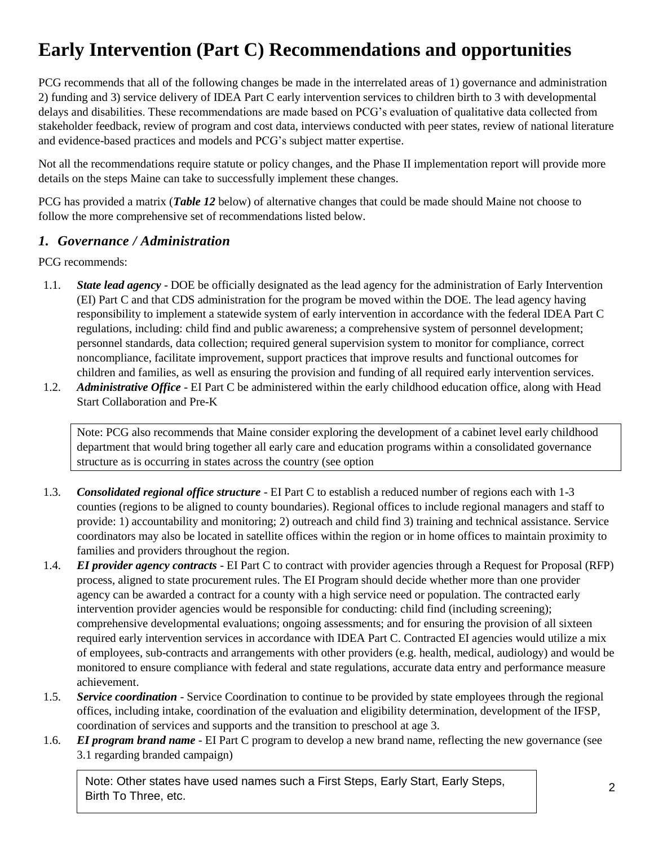# **Early Intervention (Part C) Recommendations and opportunities**

PCG recommends that all of the following changes be made in the interrelated areas of 1) governance and administration 2) funding and 3) service delivery of IDEA Part C early intervention services to children birth to 3 with developmental delays and disabilities. These recommendations are made based on PCG's evaluation of qualitative data collected from stakeholder feedback, review of program and cost data, interviews conducted with peer states, review of national literature and evidence-based practices and models and PCG's subject matter expertise.

Not all the recommendations require statute or policy changes, and the Phase II implementation report will provide more details on the steps Maine can take to successfully implement these changes.

PCG has provided a matrix (*Table 12* below) of alternative changes that could be made should Maine not choose to follow the more comprehensive set of recommendations listed below.

#### *1. Governance / Administration*

PCG recommends:

- 1.1. *State lead agency* DOE be officially designated as the lead agency for the administration of Early Intervention (EI) Part C and that CDS administration for the program be moved within the DOE. The lead agency having responsibility to implement a statewide system of early intervention in accordance with the federal IDEA Part C regulations, including: child find and public awareness; a comprehensive system of personnel development; personnel standards, data collection; required general supervision system to monitor for compliance, correct noncompliance, facilitate improvement, support practices that improve results and functional outcomes for children and families, as well as ensuring the provision and funding of all required early intervention services.
- 1.2. *Administrative Office* EI Part C be administered within the early childhood education office, along with Head Start Collaboration and Pre-K

Note: PCG also recommends that Maine consider exploring the development of a cabinet level early childhood department that would bring together all early care and education programs within a consolidated governance structure as is occurring in states across the country (see option

- 1.3. *Consolidated regional office structure* EI Part C to establish a reduced number of regions each with 1-3 counties (regions to be aligned to county boundaries). Regional offices to include regional managers and staff to provide: 1) accountability and monitoring; 2) outreach and child find 3) training and technical assistance. Service coordinators may also be located in satellite offices within the region or in home offices to maintain proximity to families and providers throughout the region.
- 1.4. *EI provider agency contracts* EI Part C to contract with provider agencies through a Request for Proposal (RFP) process, aligned to state procurement rules. The EI Program should decide whether more than one provider agency can be awarded a contract for a county with a high service need or population. The contracted early intervention provider agencies would be responsible for conducting: child find (including screening); comprehensive developmental evaluations; ongoing assessments; and for ensuring the provision of all sixteen required early intervention services in accordance with IDEA Part C. Contracted EI agencies would utilize a mix of employees, sub-contracts and arrangements with other providers (e.g. health, medical, audiology) and would be monitored to ensure compliance with federal and state regulations, accurate data entry and performance measure achievement.
- 1.5. *Service coordination* Service Coordination to continue to be provided by state employees through the regional offices, including intake, coordination of the evaluation and eligibility determination, development of the IFSP, coordination of services and supports and the transition to preschool at age 3.
- 1.6. *EI program brand name* EI Part C program to develop a new brand name, reflecting the new governance (see 3.1 regarding branded campaign)

Note: Other states have used names such a First Steps, Early Start, Early Steps, Birth To Three, etc.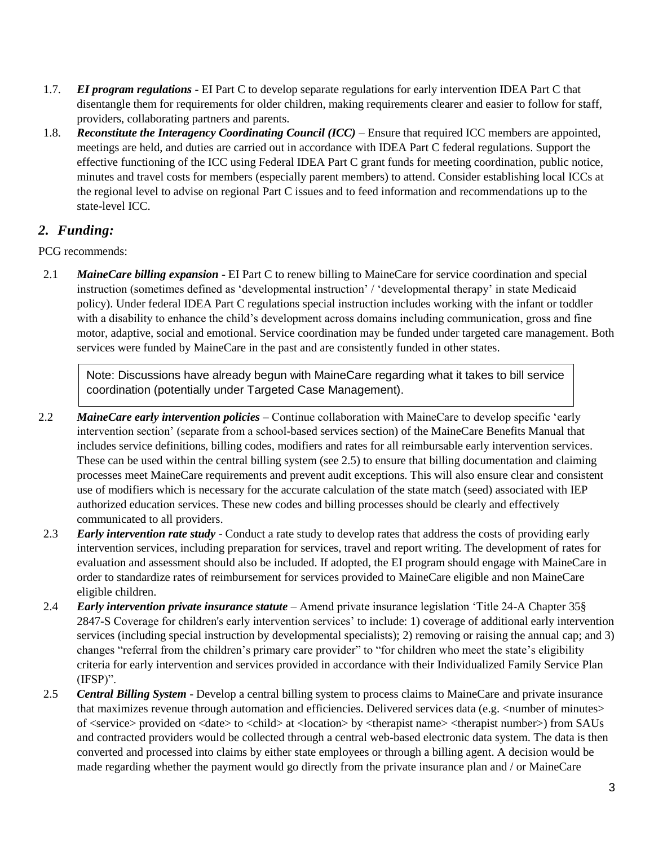- 1.7. *EI program regulations* EI Part C to develop separate regulations for early intervention IDEA Part C that disentangle them for requirements for older children, making requirements clearer and easier to follow for staff, providers, collaborating partners and parents.
- 1.8. *Reconstitute the Interagency Coordinating Council (ICC)* Ensure that required ICC members are appointed, meetings are held, and duties are carried out in accordance with IDEA Part C federal regulations. Support the effective functioning of the ICC using Federal IDEA Part C grant funds for meeting coordination, public notice, minutes and travel costs for members (especially parent members) to attend. Consider establishing local ICCs at the regional level to advise on regional Part C issues and to feed information and recommendations up to the state-level ICC.

### *2. Funding:*

PCG recommends:

2.1 *MaineCare billing expansion* - EI Part C to renew billing to MaineCare for service coordination and special instruction (sometimes defined as 'developmental instruction' / 'developmental therapy' in state Medicaid policy). Under federal IDEA Part C regulations special instruction includes working with the infant or toddler with a disability to enhance the child's development across domains including communication, gross and fine motor, adaptive, social and emotional. Service coordination may be funded under targeted care management. Both services were funded by MaineCare in the past and are consistently funded in other states.

Note: Discussions have already begun with MaineCare regarding what it takes to bill service coordination (potentially under Targeted Case Management).

- 2.2 *MaineCare early intervention policies* Continue collaboration with MaineCare to develop specific 'early intervention section' (separate from a school-based services section) of the MaineCare Benefits Manual that includes service definitions, billing codes, modifiers and rates for all reimbursable early intervention services. These can be used within the central billing system (see 2.5) to ensure that billing documentation and claiming processes meet MaineCare requirements and prevent audit exceptions. This will also ensure clear and consistent use of modifiers which is necessary for the accurate calculation of the state match (seed) associated with IEP authorized education services. These new codes and billing processes should be clearly and effectively communicated to all providers.
- 2.3 *Early intervention rate study* Conduct a rate study to develop rates that address the costs of providing early intervention services, including preparation for services, travel and report writing. The development of rates for evaluation and assessment should also be included. If adopted, the EI program should engage with MaineCare in order to standardize rates of reimbursement for services provided to MaineCare eligible and non MaineCare eligible children.
- 2.4 *Early intervention private insurance statute* Amend private insurance legislation 'Title 24-A Chapter 35§ 2847-S Coverage for children's early intervention services' to include: 1) coverage of additional early intervention services (including special instruction by developmental specialists); 2) removing or raising the annual cap; and 3) changes "referral from the children's primary care provider" to "for children who meet the state's eligibility criteria for early intervention and services provided in accordance with their Individualized Family Service Plan (IFSP)".
- 2.5 *Central Billing System* Develop a central billing system to process claims to MaineCare and private insurance that maximizes revenue through automation and efficiencies. Delivered services data (e.g. <number of minutes> of <service> provided on <date> to <child> at <location> by <therapist name> <therapist number>) from SAUs and contracted providers would be collected through a central web-based electronic data system. The data is then converted and processed into claims by either state employees or through a billing agent. A decision would be made regarding whether the payment would go directly from the private insurance plan and / or MaineCare